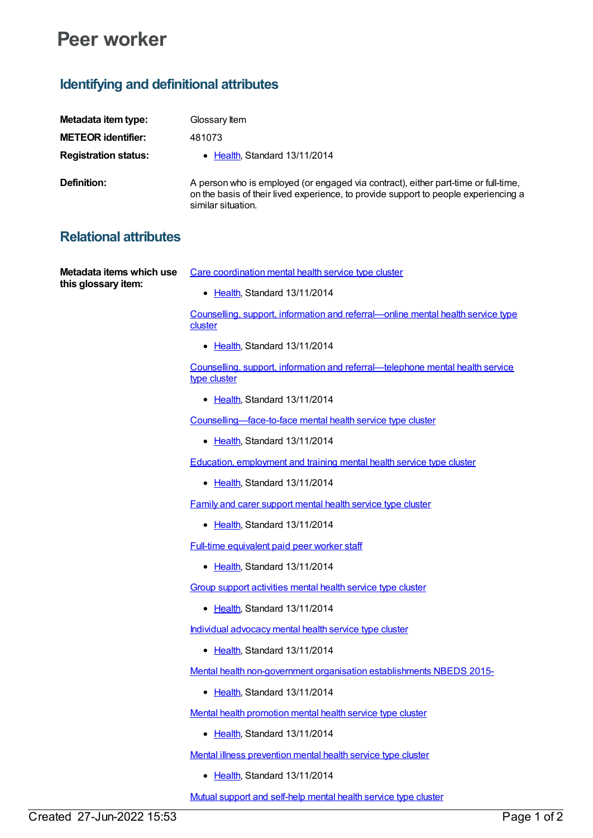## **Peer worker**

## **Identifying and definitional attributes**

| Metadata item type:         | Glossary Item                                                                                                                                                                                   |
|-----------------------------|-------------------------------------------------------------------------------------------------------------------------------------------------------------------------------------------------|
| <b>METEOR identifier:</b>   | 481073                                                                                                                                                                                          |
| <b>Registration status:</b> | • Health Standard 13/11/2014                                                                                                                                                                    |
| Definition:                 | A person who is employed (or engaged via contract), either part-time or full-time,<br>on the basis of their lived experience, to provide support to people experiencing a<br>similar situation. |

Care [coordination](https://meteor.aihw.gov.au/content/494839) mental health service type cluster

## **Relational attributes**

**Metadata items which use this glossary item:**

• [Health](https://meteor.aihw.gov.au/RegistrationAuthority/12), Standard 13/11/2014

Counselling, support, information and [referral—online](https://meteor.aihw.gov.au/content/494818) mental health service type **cluster** 

• [Health](https://meteor.aihw.gov.au/RegistrationAuthority/12), Standard 13/11/2014

Counselling, support, information and [referral—telephone](https://meteor.aihw.gov.au/content/494816) mental health service type cluster

• [Health](https://meteor.aihw.gov.au/RegistrationAuthority/12), Standard 13/11/2014

[Counselling—face-to-face](https://meteor.aihw.gov.au/content/494740) mental health service type cluster

• [Health](https://meteor.aihw.gov.au/RegistrationAuthority/12), Standard 13/11/2014

Education, [employment](https://meteor.aihw.gov.au/content/494843) and training mental health service type cluster

• [Health](https://meteor.aihw.gov.au/RegistrationAuthority/12), Standard 13/11/2014

Family and carer [support](https://meteor.aihw.gov.au/content/494834) mental health service type cluster

• [Health](https://meteor.aihw.gov.au/RegistrationAuthority/12), Standard 13/11/2014

Full-time [equivalent](https://meteor.aihw.gov.au/content/527126) paid peer worker staff

• [Health](https://meteor.aihw.gov.au/RegistrationAuthority/12), Standard 13/11/2014

Group support [activities](https://meteor.aihw.gov.au/content/494822) mental health service type cluster

• [Health](https://meteor.aihw.gov.au/RegistrationAuthority/12), Standard 13/11/2014

Individual [advocacy](https://meteor.aihw.gov.au/content/494837) mental health service type cluster

• [Health](https://meteor.aihw.gov.au/RegistrationAuthority/12), Standard 13/11/2014

Mental health [non-government](https://meteor.aihw.gov.au/content/494729) organisation establishments NBEDS 2015-

• [Health](https://meteor.aihw.gov.au/RegistrationAuthority/12), Standard 13/11/2014

Mental health [promotion](https://meteor.aihw.gov.au/content/494847) mental health service type cluster

• [Health](https://meteor.aihw.gov.au/RegistrationAuthority/12), Standard 13/11/2014

Mental illness [prevention](https://meteor.aihw.gov.au/content/494850) mental health service type cluster

• [Health](https://meteor.aihw.gov.au/RegistrationAuthority/12), Standard 13/11/2014

Mutual support and [self-help](https://meteor.aihw.gov.au/content/494824) mental health service type cluster